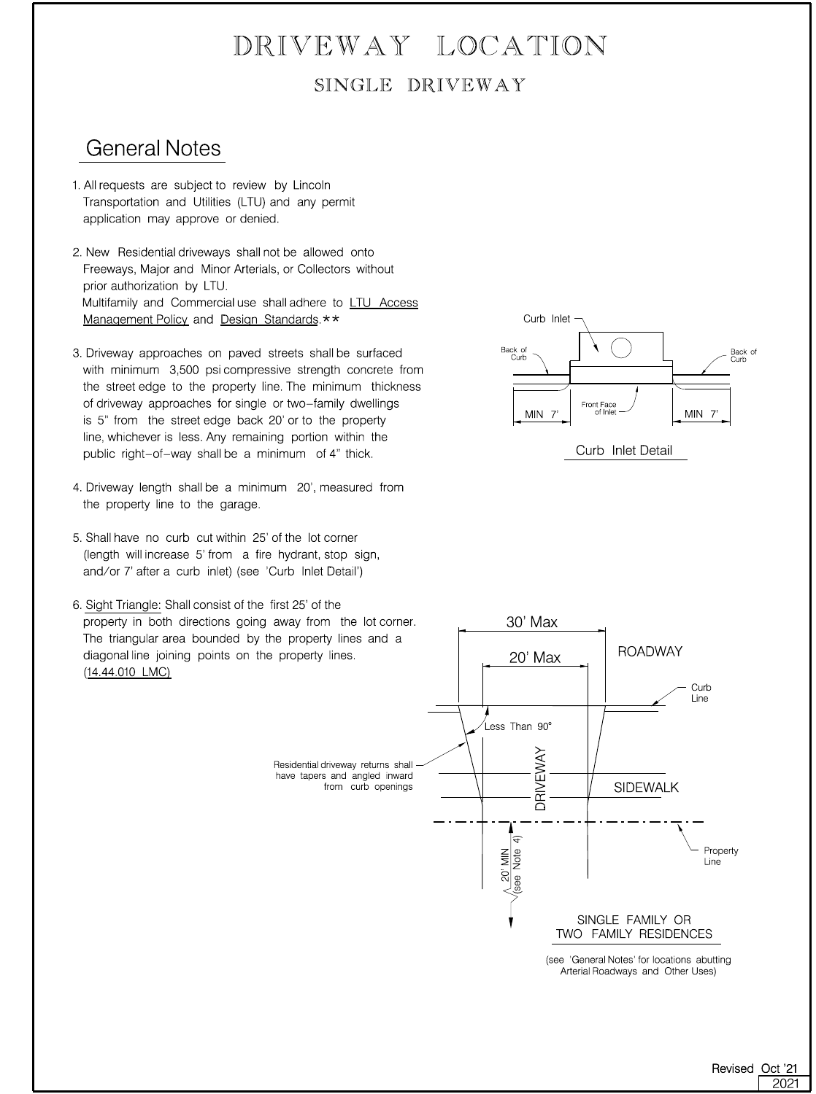## SINGLE DRIVEWAY DRIVEWAY LOCATION

### General Notes

- application may approve or denied. Transportation and Utilities (LTU) and any permit 1. All requests are subject to review by Lincoln
- [Management Policy](https://www.lincoln.ne.gov/City/Departments/LTU/Documents/Access-Management-Policy) an[d Design Standards](http://online.encodeplus.com/regs/lincoln-ne-ds/doc-viewer.aspx#secid--1). \*\* Multifamily and Commercial use shall adhere to [LTU Access](https://www.lincoln.ne.gov/City/Departments/LTU/Documents/Access-Management-Policy) prior authorization by LTU. Freeways, Major and Minor Arterials, or Collectors without 2. New Residential driveways shall not be allowed onto
- public right-of-way shall be a minimum of 4" thick. line, whichever is less. Any remaining portion within the is 5" from the street edge back 20' or to the property of driveway approaches for single or two-family dwellings the street edge to the property line. The minimum thickness with minimum 3,500 psi compressive strength concrete from 3. Driveway approaches on paved streets shall be surfaced
- the property line to the garage. 4. Driveway length shall be a minimum 20', measured from
- and/or 7' after a curb inlet) (see 'Curb Inlet Detail') (length will increase 5' from a fire hydrant, stop sign, 5. Shall have no curb cut within 25' of the lot corner
- [\(14.44.010 LMC](http://online.encodeplus.com/regs/lincoln-ne/doc-viewer.aspx#secid-9615)) diagonal line joining points on the property lines. The triangular area bounded by the property lines and a property in both directions going away from the lot corner. 6. Sight Triangle: Shall consist of the first 25' of the



Curb Inlet Detail